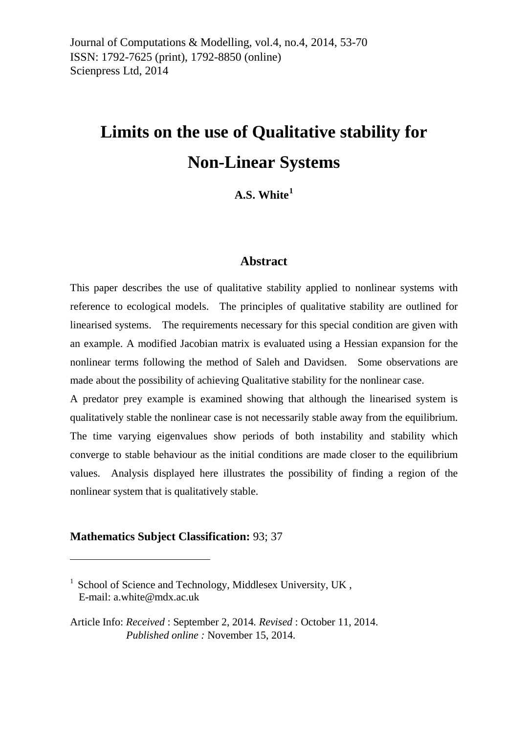# **Limits on the use of Qualitative stability for Non-Linear Systems**

**A.S. White[1](#page-0-0)**

#### **Abstract**

This paper describes the use of qualitative stability applied to nonlinear systems with reference to ecological models. The principles of qualitative stability are outlined for linearised systems. The requirements necessary for this special condition are given with an example. A modified Jacobian matrix is evaluated using a Hessian expansion for the nonlinear terms following the method of Saleh and Davidsen. Some observations are made about the possibility of achieving Qualitative stability for the nonlinear case.

A predator prey example is examined showing that although the linearised system is qualitatively stable the nonlinear case is not necessarily stable away from the equilibrium. The time varying eigenvalues show periods of both instability and stability which converge to stable behaviour as the initial conditions are made closer to the equilibrium values. Analysis displayed here illustrates the possibility of finding a region of the nonlinear system that is qualitatively stable.

#### **Mathematics Subject Classification:** 93; 37

<u>.</u>

<span id="page-0-0"></span> $1$  School of Science and Technology, Middlesex University, UK, E-mail: [a.white@mdx.ac.uk](mailto:a.white@mdx.ac.uk)

Article Info: *Received* : September 2, 2014*. Revised* : October 11, 2014.  *Published online :* November 15, 2014.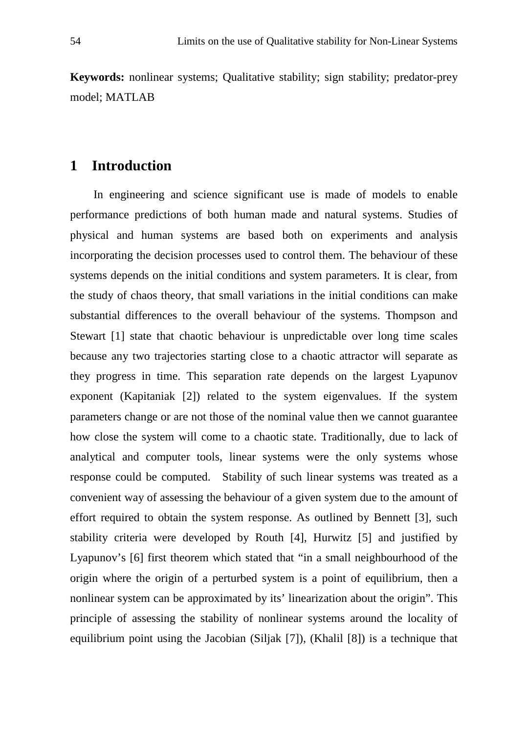**Keywords:** nonlinear systems; Qualitative stability; sign stability; predator-prey model; MATLAB

# **1 Introduction**

In engineering and science significant use is made of models to enable performance predictions of both human made and natural systems. Studies of physical and human systems are based both on experiments and analysis incorporating the decision processes used to control them. The behaviour of these systems depends on the initial conditions and system parameters. It is clear, from the study of chaos theory, that small variations in the initial conditions can make substantial differences to the overall behaviour of the systems. Thompson and Stewart [1] state that chaotic behaviour is unpredictable over long time scales because any two trajectories starting close to a chaotic attractor will separate as they progress in time. This separation rate depends on the largest Lyapunov exponent (Kapitaniak [2]) related to the system eigenvalues. If the system parameters change or are not those of the nominal value then we cannot guarantee how close the system will come to a chaotic state. Traditionally, due to lack of analytical and computer tools, linear systems were the only systems whose response could be computed. Stability of such linear systems was treated as a convenient way of assessing the behaviour of a given system due to the amount of effort required to obtain the system response. As outlined by Bennett [3], such stability criteria were developed by Routh [4], Hurwitz [5] and justified by Lyapunov's [6] first theorem which stated that "in a small neighbourhood of the origin where the origin of a perturbed system is a point of equilibrium, then a nonlinear system can be approximated by its' linearization about the origin". This principle of assessing the stability of nonlinear systems around the locality of equilibrium point using the Jacobian (Siljak [7]), (Khalil [8]) is a technique that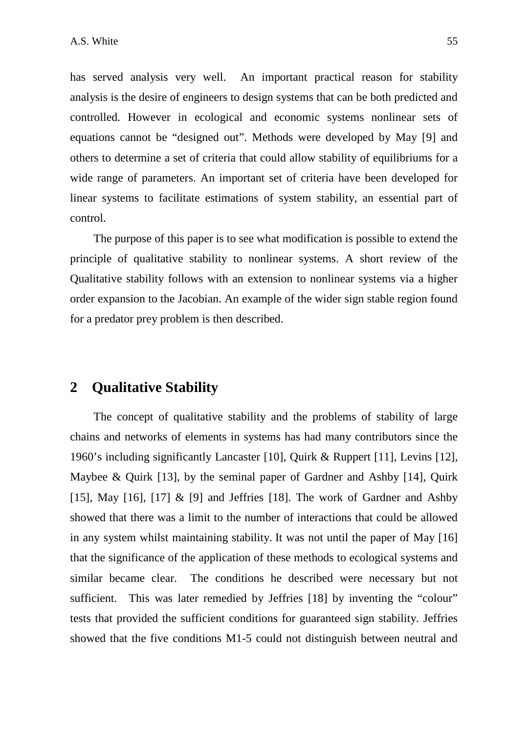has served analysis very well. An important practical reason for stability analysis is the desire of engineers to design systems that can be both predicted and controlled. However in ecological and economic systems nonlinear sets of equations cannot be "designed out". Methods were developed by May [9] and others to determine a set of criteria that could allow stability of equilibriums for a wide range of parameters. An important set of criteria have been developed for linear systems to facilitate estimations of system stability, an essential part of control.

The purpose of this paper is to see what modification is possible to extend the principle of qualitative stability to nonlinear systems. A short review of the Qualitative stability follows with an extension to nonlinear systems via a higher order expansion to the Jacobian. An example of the wider sign stable region found for a predator prey problem is then described.

# **2 Qualitative Stability**

The concept of qualitative stability and the problems of stability of large chains and networks of elements in systems has had many contributors since the 1960's including significantly Lancaster [10], Quirk & Ruppert [11], Levins [12], Maybee & Quirk [13], by the seminal paper of Gardner and Ashby [14], Quirk [15], May [16], [17]  $\&$  [9] and Jeffries [18]. The work of Gardner and Ashby showed that there was a limit to the number of interactions that could be allowed in any system whilst maintaining stability. It was not until the paper of May [16] that the significance of the application of these methods to ecological systems and similar became clear. The conditions he described were necessary but not sufficient. This was later remedied by Jeffries [18] by inventing the "colour" tests that provided the sufficient conditions for guaranteed sign stability. Jeffries showed that the five conditions M1-5 could not distinguish between neutral and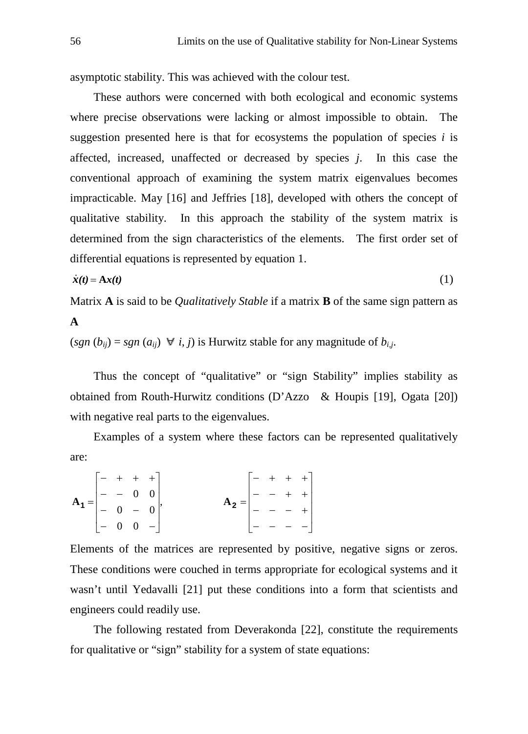asymptotic stability. This was achieved with the colour test.

These authors were concerned with both ecological and economic systems where precise observations were lacking or almost impossible to obtain. The suggestion presented here is that for ecosystems the population of species  $i$  is affected, increased, unaffected or decreased by species *j*. In this case the conventional approach of examining the system matrix eigenvalues becomes impracticable. May [16] and Jeffries [18], developed with others the concept of qualitative stability. In this approach the stability of the system matrix is determined from the sign characteristics of the elements. The first order set of differential equations is represented by equation 1.

$$
\dot{\mathbf{x}}(t) = \mathbf{A}\mathbf{x}(t) \tag{1}
$$

Matrix **A** is said to be *Qualitatively Stable* if a matrix **B** of the same sign pattern as **A**

 $(sgn (b_{ii}) = sgn (a_{ii}) \ \forall i, j$  is Hurwitz stable for any magnitude of  $b_{i,j}$ .

Thus the concept of "qualitative" or "sign Stability" implies stability as obtained from Routh-Hurwitz conditions (D'Azzo & Houpis [19], Ogata [20]) with negative real parts to the eigenvalues.

Examples of a system where these factors can be represented qualitatively are:

|                                                                      |  | $\begin{bmatrix} - + + + + \end{bmatrix}$     |                                                                      | $\begin{bmatrix} - & + & + & + \end{bmatrix}$ |  |  |
|----------------------------------------------------------------------|--|-----------------------------------------------|----------------------------------------------------------------------|-----------------------------------------------|--|--|
| $A_1 = \begin{vmatrix} - & - & 0 & 0 \\ - & 0 & - & 0 \end{vmatrix}$ |  |                                               | $A_2 = \begin{vmatrix} - & - & + & + \\ - & - & - & + \end{vmatrix}$ |                                               |  |  |
|                                                                      |  |                                               |                                                                      |                                               |  |  |
|                                                                      |  | $\begin{vmatrix} - & 0 & 0 & - \end{vmatrix}$ |                                                                      | $[- - - -]$                                   |  |  |

Elements of the matrices are represented by positive, negative signs or zeros. These conditions were couched in terms appropriate for ecological systems and it wasn't until Yedavalli [21] put these conditions into a form that scientists and engineers could readily use.

The following restated from Deverakonda [22], constitute the requirements for qualitative or "sign" stability for a system of state equations: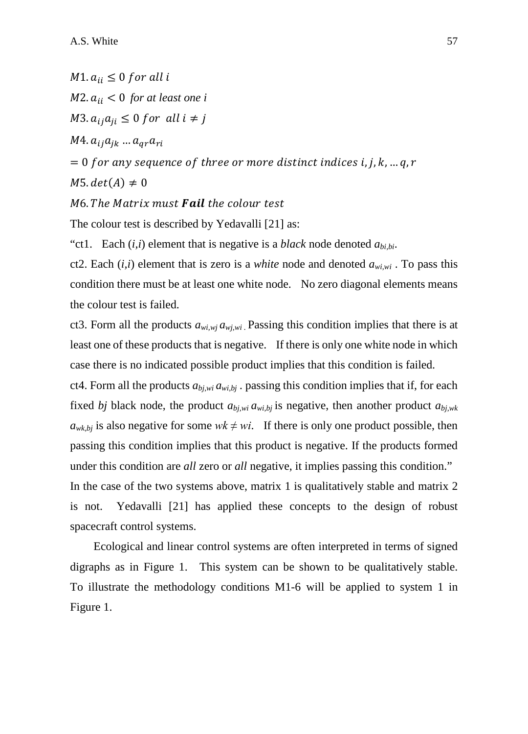$M1. a_{ii} \leq 0$  for all i  $M2. a_{ii} < 0$  for at least one i  $M3. a_{ij}a_{ij} \leq 0$  for all  $i \neq j$  $M4. a_{ij}a_{ik} \dots a_{ar}a_{ri}$  $= 0$  for any sequence of three or more distinct indices i, j, k, ... q, r  $M5. det(A) \neq 0$ M6. The Matrix must Fail the colour test

The colour test is described by Yedavalli [21] as:

"ct1. Each  $(i, i)$  element that is negative is a *black* node denoted  $a_{bi, bi}$ .

ct2. Each  $(i, i)$  element that is zero is a *white* node and denoted  $a_{w_i w_i}$ . To pass this condition there must be at least one white node. No zero diagonal elements means the colour test is failed.

ct3. Form all the products  $a_{w_i,w_i} a_{w_i,w_i}$ . Passing this condition implies that there is at least one of these products that is negative. If there is only one white node in which case there is no indicated possible product implies that this condition is failed.

ct4. Form all the products  $a_{b_i,w_i} a_{w_i,b_j}$ . passing this condition implies that if, for each fixed *bj* black node, the product  $a_{b,i,wi} a_{wi,bj}$  is negative, then another product  $a_{b,i,wk}$  $a_{wk,bi}$  is also negative for some  $wk \neq wi$ . If there is only one product possible, then passing this condition implies that this product is negative. If the products formed under this condition are *all* zero or *all* negative, it implies passing this condition." In the case of the two systems above, matrix 1 is qualitatively stable and matrix 2 is not. Yedavalli [21] has applied these concepts to the design of robust spacecraft control systems.

Ecological and linear control systems are often interpreted in terms of signed digraphs as in Figure 1. This system can be shown to be qualitatively stable. To illustrate the methodology conditions M1-6 will be applied to system 1 in Figure 1.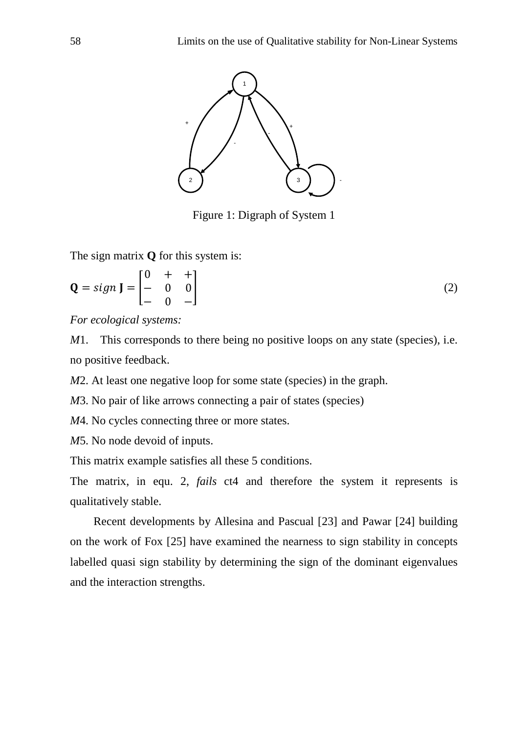

Figure 1: Digraph of System 1

The sign matrix **Q** for this system is:

$$
\mathbf{Q} = sign \mathbf{J} = \begin{bmatrix} 0 & + & + \\ - & 0 & 0 \\ - & 0 & - \end{bmatrix} \tag{2}
$$

*For ecological systems:*

*M*1. This corresponds to there being no positive loops on any state (species), i.e. no positive feedback.

*M*2. At least one negative loop for some state (species) in the graph.

*M*3. No pair of like arrows connecting a pair of states (species)

*M*4. No cycles connecting three or more states.

*M*5. No node devoid of inputs.

This matrix example satisfies all these 5 conditions.

The matrix, in equ. 2, *fails* ct4 and therefore the system it represents is qualitatively stable.

Recent developments by Allesina and Pascual [23] and Pawar [24] building on the work of Fox [25] have examined the nearness to sign stability in concepts labelled quasi sign stability by determining the sign of the dominant eigenvalues and the interaction strengths.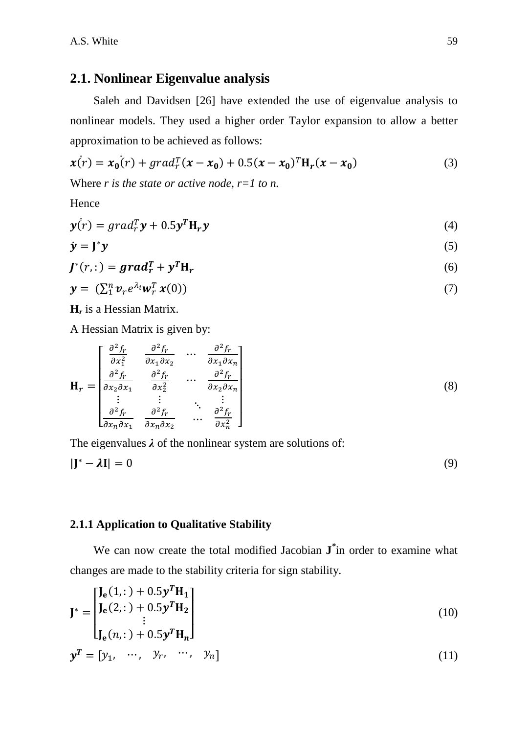## **2.1. Nonlinear Eigenvalue analysis**

Saleh and Davidsen [26] have extended the use of eigenvalue analysis to nonlinear models. They used a higher order Taylor expansion to allow a better approximation to be achieved as follows:

$$
\mathbf{x}(r) = \mathbf{x}_0(r) + \text{grad}_r^T(\mathbf{x} - \mathbf{x}_0) + 0.5(\mathbf{x} - \mathbf{x}_0)^T \mathbf{H}_r(\mathbf{x} - \mathbf{x}_0)
$$
(3)

Where *r is the state or active node, r=1 to n.*

Hence

$$
\mathbf{y}(r) = \text{grad}_r^T \mathbf{y} + 0.5 \mathbf{y}^T \mathbf{H}_r \mathbf{y} \tag{4}
$$

$$
\dot{\mathbf{y}} = \mathbf{J}^* \mathbf{y} \tag{5}
$$

$$
J^*(r, :) = grad_r^T + y^T H_r
$$
\n(6)

$$
\mathbf{y} = (\sum_{1}^{n} \mathbf{v}_r e^{\lambda_i} \mathbf{w}_r^T \mathbf{x}(0))
$$
\n<sup>(7)</sup>

**H***<sup>r</sup>* is a Hessian Matrix.

A Hessian Matrix is given by:

$$
\mathbf{H}_{r} = \begin{bmatrix} \frac{\partial^{2} f_{r}}{\partial x_{1}^{2}} & \frac{\partial^{2} f_{r}}{\partial x_{1} \partial x_{2}} & \cdots & \frac{\partial^{2} f_{r}}{\partial x_{1} \partial x_{n}} \\ \frac{\partial^{2} f_{r}}{\partial x_{2} \partial x_{1}} & \frac{\partial^{2} f_{r}}{\partial x_{2}^{2}} & \cdots & \frac{\partial^{2} f_{r}}{\partial x_{2} \partial x_{n}} \\ \vdots & \vdots & \ddots & \vdots \\ \frac{\partial^{2} f_{r}}{\partial x_{n} \partial x_{1}} & \frac{\partial^{2} f_{r}}{\partial x_{n} \partial x_{2}} & \cdots & \frac{\partial^{2} f_{r}}{\partial x_{n}^{2}} \end{bmatrix}
$$
(8)

The eigenvalues *λ* of the nonlinear system are solutions of:

$$
|\mathbf{J}^* - \lambda \mathbf{I}| = 0 \tag{9}
$$

#### **2.1.1 Application to Qualitative Stability**

We can now create the total modified Jacobian **J***\** in order to examine what changes are made to the stability criteria for sign stability.

$$
\mathbf{J}^* = \begin{bmatrix} \mathbf{J_e}(1, \cdot) + 0.5\mathbf{y}^T \mathbf{H_1} \\ \mathbf{J_e}(2, \cdot) + 0.5\mathbf{y}^T \mathbf{H_2} \\ \vdots \\ \mathbf{J_e}(n, \cdot) + 0.5\mathbf{y}^T \mathbf{H_n} \end{bmatrix}
$$
(10)

$$
\mathbf{y}^T = \begin{bmatrix} y_1, & \cdots, & y_r, & \cdots, & y_n \end{bmatrix} \tag{11}
$$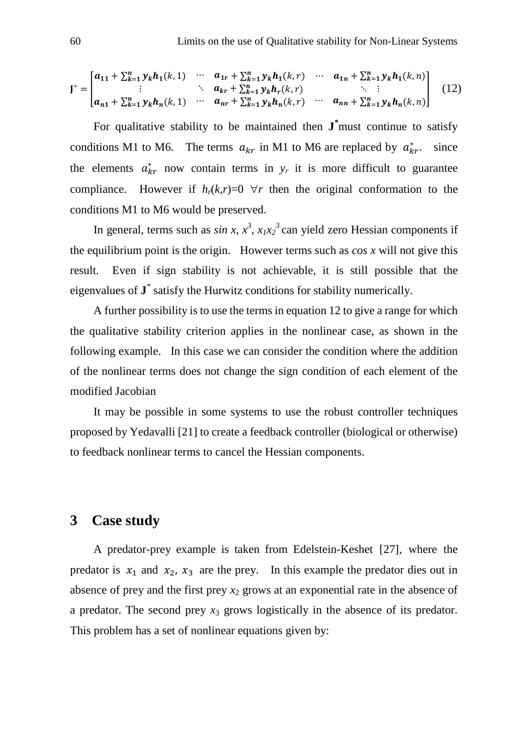$$
\mathbf{J}^* = \begin{bmatrix} a_{11} + \sum_{k=1}^n y_k h_1(k,1) & \cdots & a_{1r} + \sum_{k=1}^n y_k h_1(k,r) & \cdots & a_{1n} + \sum_{k=1}^n y_k h_1(k,n) \\ \vdots & \ddots & a_{kr} + \sum_{k=1}^n y_k h_r(k,r) & \ddots & \vdots \\ a_{n1} + \sum_{k=1}^n y_k h_n(k,1) & \cdots & a_{nr} + \sum_{k=1}^n y_k h_n(k,r) & \cdots & a_{nn} + \sum_{k=1}^n y_k h_n(k,n) \end{bmatrix} (12)
$$

For qualitative stability to be maintained then **J***\** must continue to satisfy conditions M1 to M6. The terms  $a_{kr}$  in M1 to M6 are replaced by  $a_{kr}^*$ . since the elements  $a_{kr}^*$  now contain terms in  $y_r$  it is more difficult to guarantee compliance. However if  $h_r(k,r)=0$   $\forall r$  then the original conformation to the conditions M1 to M6 would be preserved.

In general, terms such as  $sin x$ ,  $x^3$ ,  $x_1x_2^3$  can yield zero Hessian components if the equilibrium point is the origin. However terms such as *cos x* will not give this result. Even if sign stability is not achievable, it is still possible that the eigenvalues of **J***\** satisfy the Hurwitz conditions for stability numerically.

A further possibility is to use the terms in equation 12 to give a range for which the qualitative stability criterion applies in the nonlinear case, as shown in the following example. In this case we can consider the condition where the addition of the nonlinear terms does not change the sign condition of each element of the modified Jacobian

It may be possible in some systems to use the robust controller techniques proposed by Yedavalli [21] to create a feedback controller (biological or otherwise) to feedback nonlinear terms to cancel the Hessian components.

# **3 Case study**

A predator-prey example is taken from Edelstein-Keshet [27], where the predator is  $x_1$  and  $x_2$ ,  $x_3$  are the prey. In this example the predator dies out in absence of prey and the first prey  $x_2$  grows at an exponential rate in the absence of a predator. The second prey  $x_3$  grows logistically in the absence of its predator. This problem has a set of nonlinear equations given by: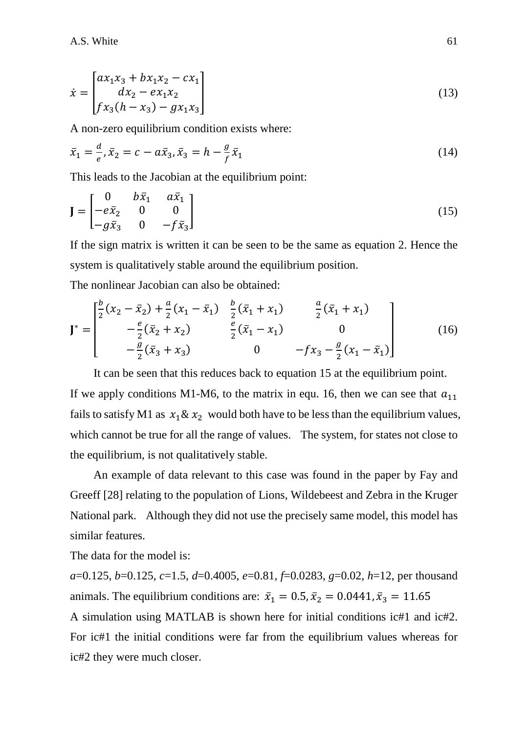$$
\dot{x} = \begin{bmatrix} ax_1x_3 + bx_1x_2 - cx_1 \\ dx_2 - ex_1x_2 \\ fx_3(h - x_3) - gx_1x_3 \end{bmatrix}
$$
\n(13)

A non-zero equilibrium condition exists where:

$$
\bar{x}_1 = \frac{d}{e}, \bar{x}_2 = c - a\bar{x}_3, \bar{x}_3 = h - \frac{g}{f}\bar{x}_1
$$
\n(14)

This leads to the Jacobian at the equilibrium point:

$$
\mathbf{J} = \begin{bmatrix} 0 & b\bar{x}_1 & a\bar{x}_1 \\ -e\bar{x}_2 & 0 & 0 \\ -g\bar{x}_3 & 0 & -f\bar{x}_3 \end{bmatrix}
$$
 (15)

If the sign matrix is written it can be seen to be the same as equation 2. Hence the system is qualitatively stable around the equilibrium position.

The nonlinear Jacobian can also be obtained:

$$
\mathbf{J}^* = \begin{bmatrix} \frac{b}{2} (x_2 - \bar{x}_2) + \frac{a}{2} (x_1 - \bar{x}_1) & \frac{b}{2} (\bar{x}_1 + x_1) & \frac{a}{2} (\bar{x}_1 + x_1) \\ -\frac{e}{2} (\bar{x}_2 + x_2) & \frac{e}{2} (\bar{x}_1 - x_1) & 0 \\ -\frac{g}{2} (\bar{x}_3 + x_3) & 0 & -f x_3 - \frac{g}{2} (x_1 - \bar{x}_1) \end{bmatrix}
$$
(16)

It can be seen that this reduces back to equation 15 at the equilibrium point.

If we apply conditions M1-M6, to the matrix in equ. 16, then we can see that  $a_{11}$ fails to satisfy M1 as  $x_1 \& x_2$  would both have to be less than the equilibrium values, which cannot be true for all the range of values. The system, for states not close to the equilibrium, is not qualitatively stable.

An example of data relevant to this case was found in the paper by Fay and Greeff [28] relating to the population of Lions, Wildebeest and Zebra in the Kruger National park. Although they did not use the precisely same model, this model has similar features.

The data for the model is:

*a*=0.125, *b*=0.125, *c*=1.5, *d*=0.4005, *e*=0.81, *f*=0.0283, *g*=0.02, *h*=12, per thousand animals. The equilibrium conditions are:  $\bar{x}_1 = 0.5, \bar{x}_2 = 0.0441, \bar{x}_3 = 11.65$ 

A simulation using MATLAB is shown here for initial conditions ic#1 and ic#2. For ic#1 the initial conditions were far from the equilibrium values whereas for ic#2 they were much closer.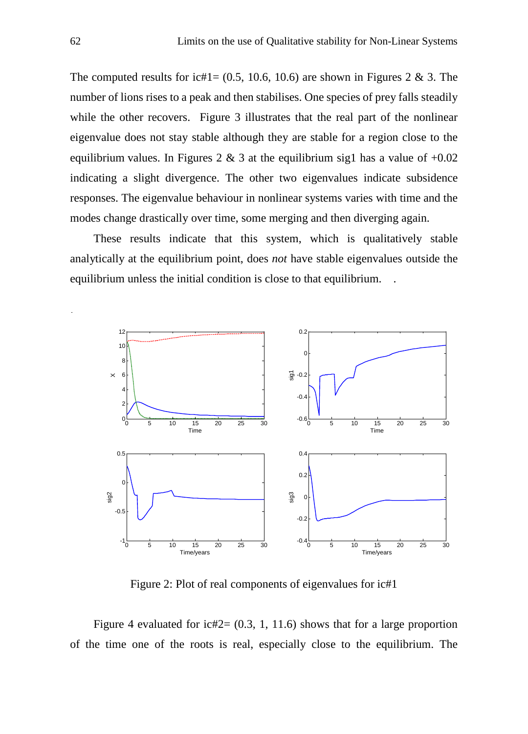The computed results for ic#1=  $(0.5, 10.6, 10.6)$  are shown in Figures 2 & 3. The number of lions rises to a peak and then stabilises. One species of prey falls steadily while the other recovers. Figure 3 illustrates that the real part of the nonlinear eigenvalue does not stay stable although they are stable for a region close to the equilibrium values. In Figures 2 & 3 at the equilibrium sig1 has a value of  $+0.02$ indicating a slight divergence. The other two eigenvalues indicate subsidence responses. The eigenvalue behaviour in nonlinear systems varies with time and the modes change drastically over time, some merging and then diverging again.

These results indicate that this system, which is qualitatively stable analytically at the equilibrium point, does *not* have stable eigenvalues outside the equilibrium unless the initial condition is close to that equilibrium.



Figure 2: Plot of real components of eigenvalues for ic#1

Figure 4 evaluated for ic#2=  $(0.3, 1, 11.6)$  shows that for a large proportion of the time one of the roots is real, especially close to the equilibrium. The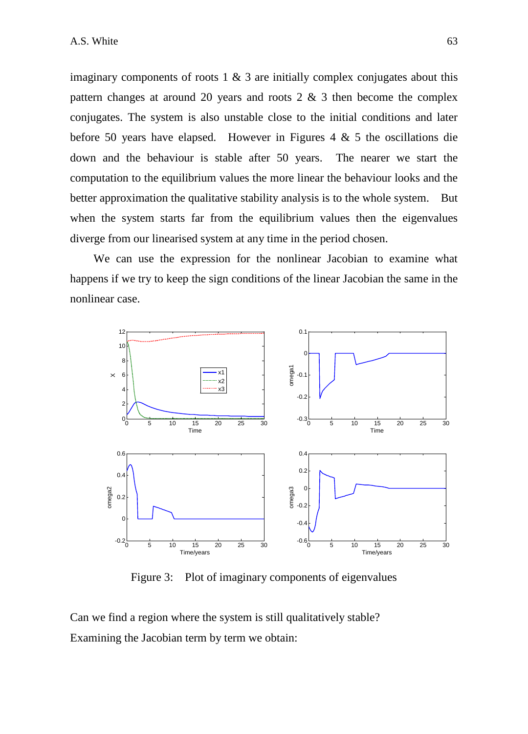imaginary components of roots  $1 \& 3$  are initially complex conjugates about this pattern changes at around 20 years and roots  $2 \& 3$  then become the complex conjugates. The system is also unstable close to the initial conditions and later before 50 years have elapsed. However in Figures 4  $\&$  5 the oscillations die down and the behaviour is stable after 50 years. The nearer we start the computation to the equilibrium values the more linear the behaviour looks and the better approximation the qualitative stability analysis is to the whole system. But when the system starts far from the equilibrium values then the eigenvalues diverge from our linearised system at any time in the period chosen.

We can use the expression for the nonlinear Jacobian to examine what happens if we try to keep the sign conditions of the linear Jacobian the same in the nonlinear case.



Figure 3: Plot of imaginary components of eigenvalues

Can we find a region where the system is still qualitatively stable? Examining the Jacobian term by term we obtain: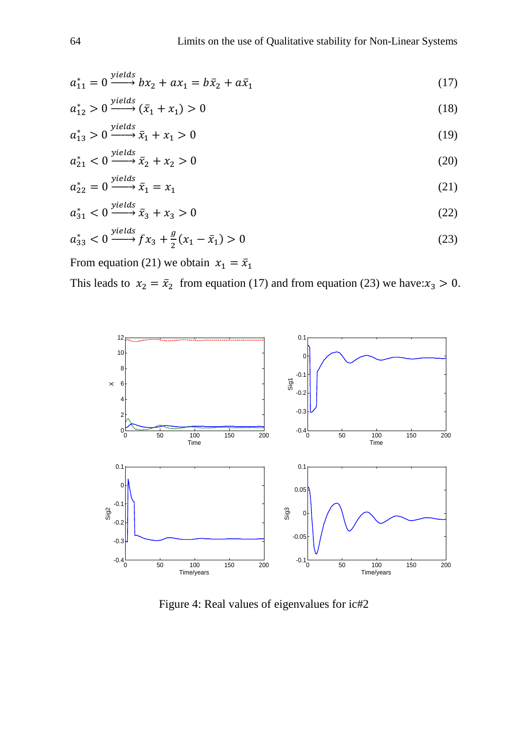$$
a_{11}^* = 0 \xrightarrow{yields} bx_2 + ax_1 = b\bar{x}_2 + a\bar{x}_1 \tag{17}
$$

$$
a_{12}^* > 0 \xrightarrow{yields} (\bar{x}_1 + x_1) > 0 \tag{18}
$$

$$
a_{13}^* > 0 \xrightarrow{\text{yields}} \bar{x}_1 + x_1 > 0 \tag{19}
$$

$$
a_{21}^* < 0 \xrightarrow{yields} \bar{x}_2 + x_2 > 0 \tag{20}
$$

$$
a_{22}^* = 0 \xrightarrow{\text{yields}} \bar{x}_1 = x_1 \tag{21}
$$

$$
a_{31}^* < 0 \xrightarrow{\text{yields}} \bar{x}_3 + x_3 > 0 \tag{22}
$$

$$
a_{33}^* < 0 \xrightarrow{yields} fx_3 + \frac{g}{2}(x_1 - \bar{x}_1) > 0
$$
 (23)

From equation (21) we obtain  $x_1 = \bar{x}_1$ 

This leads to  $x_2 = \bar{x}_2$  from equation (17) and from equation (23) we have: $x_3 > 0$ .



Figure 4: Real values of eigenvalues for ic#2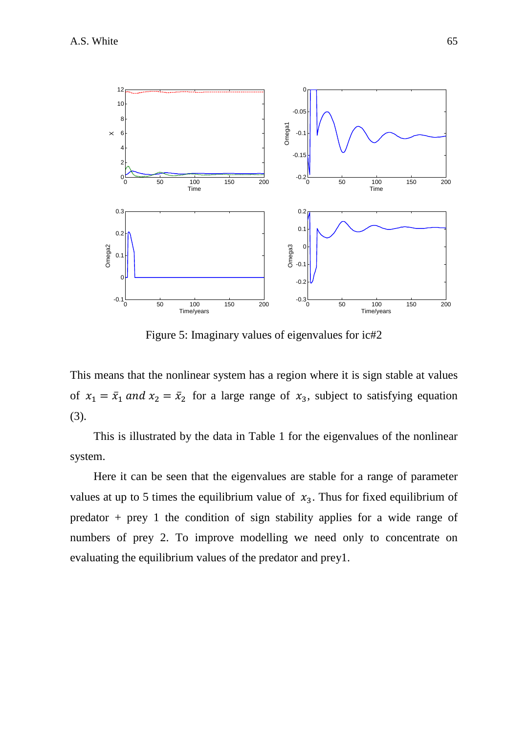

Figure 5: Imaginary values of eigenvalues for ic#2

This means that the nonlinear system has a region where it is sign stable at values of  $x_1 = \overline{x}_1$  and  $x_2 = \overline{x}_2$  for a large range of  $x_3$ , subject to satisfying equation (3).

This is illustrated by the data in Table 1 for the eigenvalues of the nonlinear system.

Here it can be seen that the eigenvalues are stable for a range of parameter values at up to 5 times the equilibrium value of  $x_3$ . Thus for fixed equilibrium of predator  $+$  prey 1 the condition of sign stability applies for a wide range of numbers of prey 2. To improve modelling we need only to concentrate on evaluating the equilibrium values of the predator and prey1.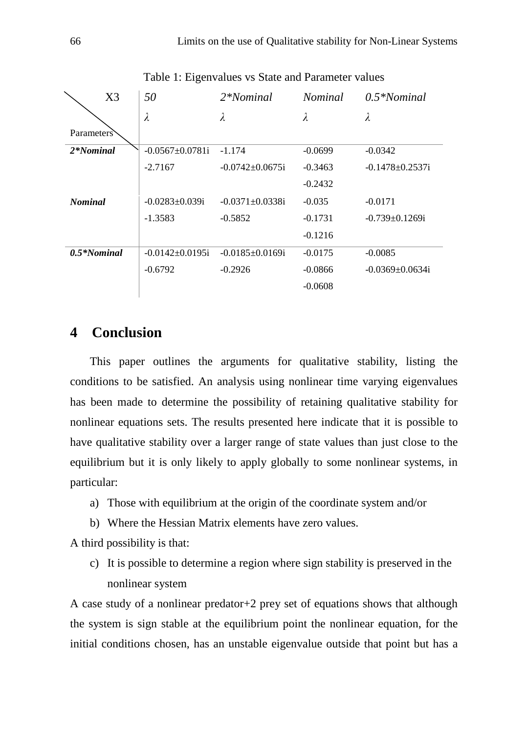|                | X <sub>3</sub> | 50                     | $2*Nominal$            | <i>Nominal</i> | $0.5*Nominal$          |
|----------------|----------------|------------------------|------------------------|----------------|------------------------|
|                |                | $\lambda$              | λ                      | λ              | λ                      |
| Parameters     |                |                        |                        |                |                        |
| 2*Nominal      |                | $-0.0567 \pm 0.0781$ i | $-1.174$               | $-0.0699$      | $-0.0342$              |
|                |                | $-2.7167$              | $-0.0742 + 0.0675$ i   | $-0.3463$      | $-0.1478 \pm 0.2537$ i |
|                |                |                        |                        | $-0.2432$      |                        |
| <b>Nominal</b> |                | $-0.0283+0.039i$       | $-0.0371 \pm 0.0338i$  | $-0.035$       | $-0.0171$              |
|                |                | $-1.3583$              | $-0.5852$              | $-0.1731$      | $-0.739+0.1269$ i      |
|                |                |                        |                        | $-0.1216$      |                        |
| $0.5*Nominal$  |                | $-0.0142 + 0.0195$ i   | $-0.0185 \pm 0.0169$ i | $-0.0175$      | $-0.0085$              |
|                |                | $-0.6792$              | $-0.2926$              | $-0.0866$      | $-0.0369 \pm 0.0634i$  |
|                |                |                        |                        | $-0.0608$      |                        |
|                |                |                        |                        |                |                        |

Table 1: Eigenvalues vs State and Parameter values

# **4 Conclusion**

This paper outlines the arguments for qualitative stability, listing the conditions to be satisfied. An analysis using nonlinear time varying eigenvalues has been made to determine the possibility of retaining qualitative stability for nonlinear equations sets. The results presented here indicate that it is possible to have qualitative stability over a larger range of state values than just close to the equilibrium but it is only likely to apply globally to some nonlinear systems, in particular:

- a) Those with equilibrium at the origin of the coordinate system and/or
- b) Where the Hessian Matrix elements have zero values.

A third possibility is that:

c) It is possible to determine a region where sign stability is preserved in the nonlinear system

A case study of a nonlinear predator+2 prey set of equations shows that although the system is sign stable at the equilibrium point the nonlinear equation, for the initial conditions chosen, has an unstable eigenvalue outside that point but has a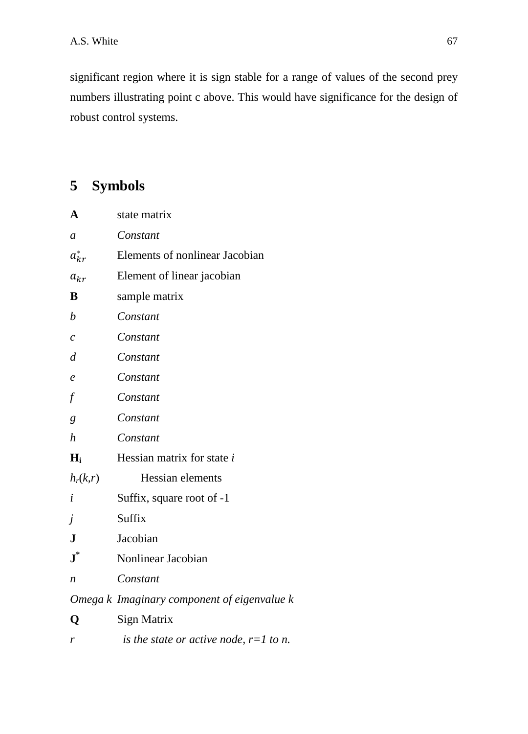significant region where it is sign stable for a range of values of the second prey numbers illustrating point c above. This would have significance for the design of robust control systems.

# **5 Symbols**

| $\mathbf A$       | state matrix                                |  |  |
|-------------------|---------------------------------------------|--|--|
| $\boldsymbol{a}$  | Constant                                    |  |  |
| $a_{kr}^*$        | Elements of nonlinear Jacobian              |  |  |
| $a_{kr}$          | Element of linear jacobian                  |  |  |
| B                 | sample matrix                               |  |  |
| $\boldsymbol{b}$  | Constant                                    |  |  |
| $\mathcal{C}_{0}$ | Constant                                    |  |  |
| $\overline{d}$    | Constant                                    |  |  |
| $\ell$            | Constant                                    |  |  |
| $f\,$             | Constant                                    |  |  |
| $\boldsymbol{g}$  | Constant                                    |  |  |
| $\boldsymbol{h}$  | Constant                                    |  |  |
| $H_i$             | Hessian matrix for state i                  |  |  |
| $h_r(k,r)$        | Hessian elements                            |  |  |
| i                 | Suffix, square root of -1                   |  |  |
| j                 | Suffix                                      |  |  |
| ${\bf J}$         | Jacobian                                    |  |  |
| $\textbf{J}^*$    | Nonlinear Jacobian                          |  |  |
| n                 | Constant                                    |  |  |
|                   | Omega k Imaginary component of eigenvalue k |  |  |
| Q                 | <b>Sign Matrix</b>                          |  |  |
|                   |                                             |  |  |

*r is the state or active node, r=1 to n.*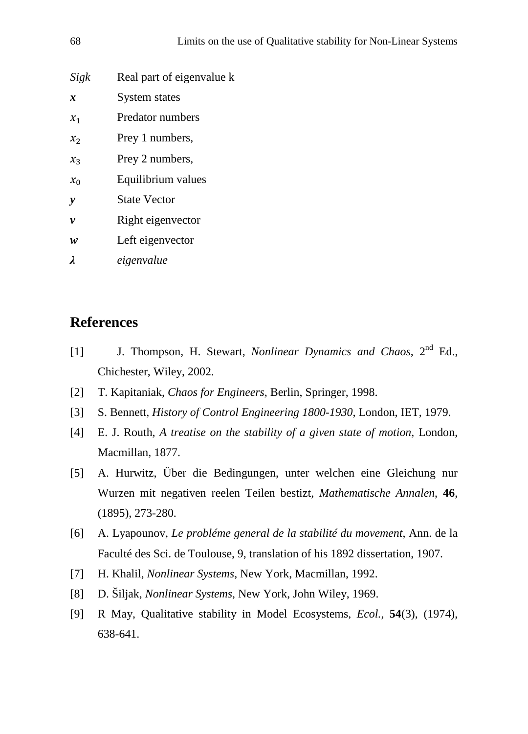| 68                 | Limits on the use of Qualitative stability for Non-Linear Systems |
|--------------------|-------------------------------------------------------------------|
| Sigk               | Real part of eigenvalue k                                         |
| $\boldsymbol{x}$   | System states                                                     |
| $x_1$              | Predator numbers                                                  |
| $x_2$              | Prey 1 numbers,                                                   |
| $x_3$              | Prey 2 numbers,                                                   |
| $x_0$              | Equilibrium values                                                |
| y                  | <b>State Vector</b>                                               |
| $\boldsymbol{\nu}$ | Right eigenvector                                                 |
| w                  | Left eigenvector                                                  |
| λ                  | eigenvalue                                                        |
|                    |                                                                   |

# **References**

- [1] J. Thompson, H. Stewart, *Nonlinear Dynamics and Chaos*, 2nd Ed., Chichester, Wiley, 2002.
- [2] T. Kapitaniak, *Chaos for Engineers*, Berlin, Springer, 1998.
- [3] S. Bennett, *History of Control Engineering 1800-1930*, London, IET, 1979.
- [4] E. J. Routh, *A treatise on the stability of a given state of motion*, London, Macmillan, 1877.
- [5] A. Hurwitz, Über die Bedingungen, unter welchen eine Gleichung nur Wurzen mit negativen reelen Teilen bestizt, *Mathematische Annalen*, **46**, (1895), 273-280.
- [6] A. Lyapounov, *Le probléme general de la stabilité du movement*, Ann. de la Faculté des Sci. de Toulouse, 9, translation of his 1892 dissertation, 1907.
- [7] H. Khalil, *Nonlinear Systems*, New York, Macmillan, 1992.
- [8] D. Šiljak, *Nonlinear Systems*, New York, John Wiley, 1969.
- [9] R May, Qualitative stability in Model Ecosystems, *Ecol.,* **54**(3), (1974), 638-641.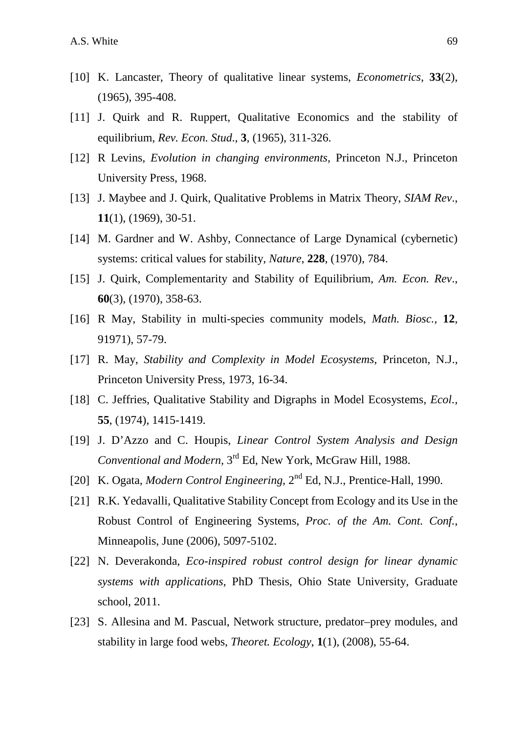- [10] K. Lancaster, Theory of qualitative linear systems, *Econometrics*, **33**(2), (1965), 395-408.
- [11] J. Quirk and R. Ruppert, Qualitative Economics and the stability of equilibrium, *Rev. Econ. Stud*., **3**, (1965), 311-326.
- [12] R Levins, *Evolution in changing environments*, Princeton N.J., Princeton University Press, 1968.
- [13] J. Maybee and J. Quirk, Qualitative Problems in Matrix Theory, *SIAM Rev*., **11**(1), (1969), 30-51.
- [14] M. Gardner and W. Ashby, Connectance of Large Dynamical (cybernetic) systems: critical values for stability, *Nature*, **228**, (1970), 784.
- [15] J. Quirk, Complementarity and Stability of Equilibrium, *Am. Econ. Rev*., **60**(3), (1970), 358-63.
- [16] R May, Stability in multi-species community models, *Math. Biosc.,* **12**, 91971), 57-79.
- [17] R. May, *Stability and Complexity in Model Ecosystems*, Princeton, N.J., Princeton University Press, 1973, 16-34.
- [18] C. Jeffries, Qualitative Stability and Digraphs in Model Ecosystems, *Ecol.,* **55**, (1974), 1415-1419.
- [19] J. D'Azzo and C. Houpis, *Linear Control System Analysis and Design Conventional and Modern,* 3rd Ed, New York, McGraw Hill, 1988.
- [20] K. Ogata, *Modern Control Engineering*, 2<sup>nd</sup> Ed, N.J., Prentice-Hall, 1990.
- [21] R.K. Yedavalli, Qualitative Stability Concept from Ecology and its Use in the Robust Control of Engineering Systems, *Proc. of the Am. Cont. Conf.*, Minneapolis, June (2006), 5097-5102.
- [22] N. Deverakonda, *Eco-inspired robust control design for linear dynamic systems with applications*, PhD Thesis, Ohio State University, Graduate school, 2011.
- [23] S. Allesina and M. Pascual, Network structure, predator–prey modules, and stability in large food webs, *Theoret. Ecology*, **1**(1), (2008), 55-64.